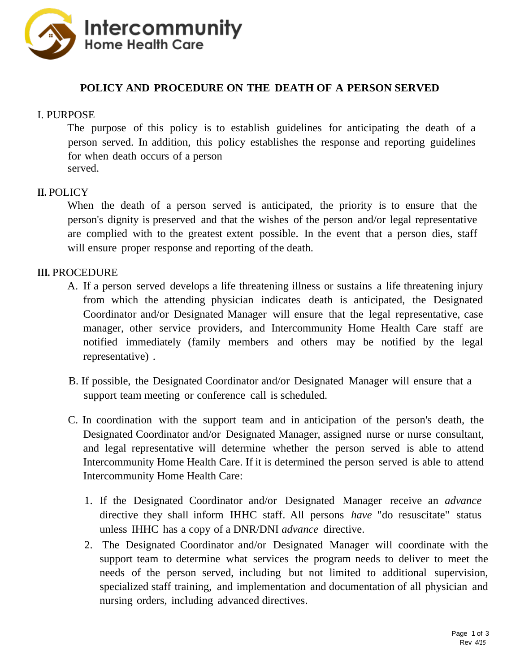

# **POLICY AND PROCEDURE ON THE DEATH OF A PERSON SERVED**

### I. PURPOSE

The purpose of this policy is to establish guidelines for anticipating the death of a person served. In addition, this policy establishes the response and reporting guidelines for when death occurs of a person served.

#### **II.** POLICY

When the death of a person served is anticipated, the priority is to ensure that the person's dignity is preserved and that the wishes of the person and/or legal representative are complied with to the greatest extent possible. In the event that a person dies, staff will ensure proper response and reporting of the death.

#### **III.** PROCEDURE

- A. If a person served develops a life threatening illness or sustains a life threatening injury from which the attending physician indicates death is anticipated, the Designated Coordinator and/or Designated Manager will ensure that the legal representative, case manager, other service providers, and Intercommunity Home Health Care staff are notified immediately (family members and others may be notified by the legal representative) .
- B. If possible, the Designated Coordinator and/or Designated Manager will ensure that a support team meeting or conference call is scheduled.
- C. In coordination with the support team and in anticipation of the person's death, the Designated Coordinator and/or Designated Manager, assigned nurse or nurse consultant, and legal representative will determine whether the person served is able to attend Intercommunity Home Health Care. If it is determined the person served is able to attend Intercommunity Home Health Care:
	- 1. If the Designated Coordinator and/or Designated Manager receive an *advance* directive they shall inform IHHC staff. All persons *have* "do resuscitate" status unless IHHC has a copy of a DNR/DNI *advance* directive.
	- 2. The Designated Coordinator and/or Designated Manager will coordinate with the support team to determine what services the program needs to deliver to meet the needs of the person served, including but not limited to additional supervision, specialized staff training, and implementation and documentation of all physician and nursing orders, including advanced directives.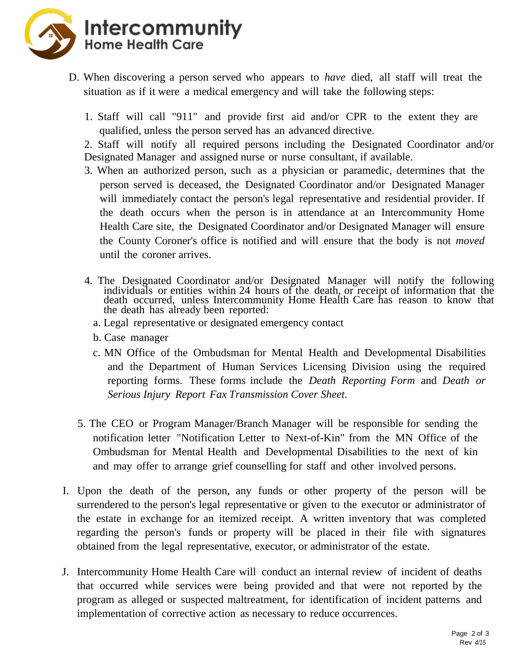

- D. When discovering a person served who appears to *have* died, all staff will treat the situation as if it were a medical emergency and will take the following steps:
	- 1. Staff will call "911" and provide first aid and/or CPR to the extent they are qualified, unless the person served has an advanced directive.

2. Staff will notify all required persons including the Designated Coordinator and/or Designated Manager and assigned nurse or nurse consultant, if available.

- 3. When an authorized person, such as a physician or paramedic, determines that the person served is deceased, the Designated Coordinator and/or Designated Manager will immediately contact the person's legal representative and residential provider. If the death occurs when the person is in attendance at an Intercommunity Home Health Care site, the Designated Coordinator and/or Designated Manager will ensure the County Coroner's office is notified and will ensure that the body is not *moved* until the coroner arrives.
- 4. The Designated Coordinator and/or Designated Manager will notify the following individuals or entities within 24 hours of the death, or receipt of information that the death occurred, unless Intercommunity Home Health Care has reason to know that the death has already been reported:
	- a. Legal representative or designated emergency contact
	- b. Case manager
	- c. MN Office of the Ombudsman for Mental Health and Developmental Disabilities and the Department of Human Services Licensing Division using the required reporting forms. These forms include the *Death Reporting Form* and *Death or Serious Injury Report Fax Transmission Cover Sheet.*
- 5. The CEO or Program Manager/Branch Manager will be responsible for sending the notification letter "Notification Letter to Next-of-Kin" from the MN Office of the Ombudsman for Mental Health and Developmental Disabilities to the next of kin and may offer to arrange grief counselling for staff and other involved persons.
- I. Upon the death of the person, any funds or other property of the person will be surrendered to the person's legal representative or given to the executor or administrator of the estate in exchange for an itemized receipt. A written inventory that was completed regarding the person's funds or property will be placed in their file with signatures obtained from the legal representative, executor, or administrator of the estate.
- J. Intercommunity Home Health Care will conduct an internal review of incident of deaths that occurred while services were being provided and that were not reported by the program as alleged or suspected maltreatment, for identification of incident patterns and implementation of corrective action as necessary to reduce occurrences.